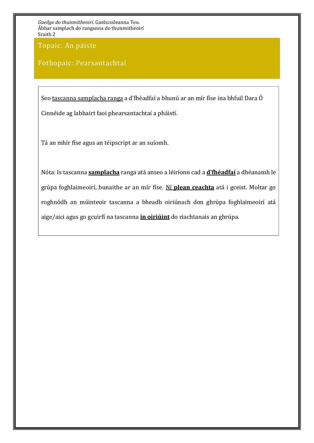Topaic: An páiste

### Fothopaic: Pearsantachtaí

Seo tascanna samplacha ranga a d'fhéadfaí a bhunú ar an mír físe ina bhfuil Dara Ó Cinnéide ag labhairt faoi phearsantachtaí a pháistí.

Tá an mhír físe agus an téipscript ar an suíomh.

Nóta: Is tascanna **samplacha** ranga atá anseo a léiríonn cad a **d'fhéadfaí** a dhéanamh le grúpa foghlaimeoirí, bunaithe ar an mír físe. Ní **plean ceachta** atá i gceist. Moltar go roghnódh an múinteoir tascanna a bheadh oiriúnach don ghrúpa foghlaimeoirí atá aige/aici agus go gcuirfí na tascanna **in oiriúint** do riachtanais an ghrúpa.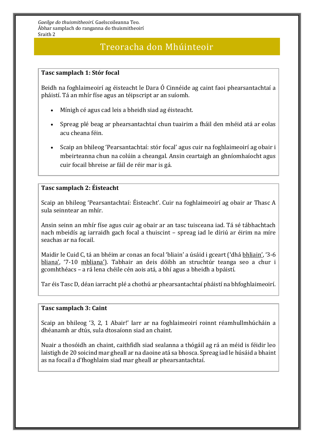### Treoracha don Mhúinteoir

#### **Tasc samplach 1: Stór focal**

Beidh na foghlaimeoirí ag éisteacht le Dara Ó Cinnéide ag caint faoi phearsantachtaí a pháistí. Tá an mhír físe agus an téipscript ar an suíomh.

- Mínigh cé agus cad leis a bheidh siad ag éisteacht.
- Spreag plé beag ar phearsantachtaí chun tuairim a fháil den mhéid atá ar eolas acu cheana féin.
- Scaip an bhileog 'Pearsantachtaí: stór focal' agus cuir na foghlaimeoirí ag obair i mbeirteanna chun na colúin a cheangal. Ansin ceartaigh an ghníomhaíocht agus cuir focail bhreise ar fáil de réir mar is gá.

#### **Tasc samplach 2: Éisteacht**

Scaip an bhileog 'Pearsantachtaí: Éisteacht'. Cuir na foghlaimeoirí ag obair ar Thasc A sula seinntear an mhír.

Ansin seinn an mhír físe agus cuir ag obair ar an tasc tuisceana iad. Tá sé tábhachtach nach mbeidís ag iarraidh gach focal a thuiscint – spreag iad le díriú ar éirim na míre seachas ar na focail.

Maidir le Cuid C, tá an bhéim ar conas an focal 'bliain' a úsáid i gceart ('dhá bhliain', '3-6 bliana', '7-10 mbliana'). Tabhair an deis dóibh an struchtúr teanga seo a chur i gcomhthéacs – a rá lena chéile cén aois atá, a bhí agus a bheidh a bpáistí.

Tar éis Tasc D, déan iarracht plé a chothú ar phearsantachtaí pháistí na bhfoghlaimeoirí.

#### **Tasc samplach 3: Caint**

Scaip an bhileog '3, 2, 1 Abair!' Iarr ar na foghlaimeoirí roinnt réamhullmhúcháin a dhéanamh ar dtús, sula dtosaíonn siad an chaint.

Nuair a thosóidh an chaint, caithfidh siad sealanna a thógáil ag rá an méid is féidir leo laistigh de 20 soicind mar gheall ar na daoine atá sa bhosca. Spreag iad le húsáid a bhaint as na focail a d'fhoghlaim siad mar gheall ar phearsantachtaí.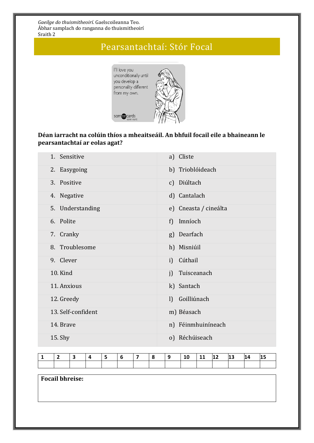## Pearsantachtaí: Stór Focal



### **Déan iarracht na colúin thíos a mheaitseáil. An bhfuil focail eile a bhaineann le pearsantachtaí ar eolas agat?**

| 1. Sensitive       | a) Cliste                   |
|--------------------|-----------------------------|
| 2. Easygoing       | b) Trioblóideach            |
| 3. Positive        | c) Diúltach                 |
| 4. Negative        | d) Cantalach                |
| 5. Understanding   | e) Cneasta / cineálta       |
| 6. Polite          | Imníoch<br>f)               |
| 7. Cranky          | g) Dearfach                 |
| 8. Troublesome     | h) Misniúil                 |
| 9. Clever          | Cúthail<br>i)               |
| <b>10. Kind</b>    | Tuisceanach<br>j)           |
| 11. Anxious        | k) Santach                  |
| 12. Greedy         | Goilliúnach<br>$\mathbf{I}$ |
| 13. Self-confident | m) Béasach                  |
| 14. Brave          | n) Féinmhuiníneach          |
| 15. Shy            | o) Réchúiseach              |

|  |  |  |  | 10 | -- | 12 | 13 | 14 | 15 |
|--|--|--|--|----|----|----|----|----|----|
|  |  |  |  |    |    |    |    |    |    |

**Focail bhreise:**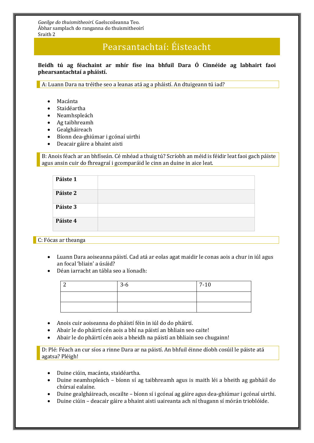## Pearsantachtaí: Éisteacht

**Beidh tú ag féachaint ar mhír físe ina bhfuil Dara Ó Cinnéide ag labhairt faoi phearsantachtaí a pháistí.**

A: Luann Dara na tréithe seo a leanas atá ag a pháistí. An dtuigeann tú iad?

- Macánta
- Staidéartha
- Neamhspleách
- Ag taibhreamh
- Gealgháireach
- Bíonn dea-ghiúmar i gcónaí uirthi
- Deacair gáire a bhaint aisti

B: Anois féach ar an bhfíseán. Cé mhéad a thuig tú? Scríobh an méid is féidir leat faoi gach páiste agus ansin cuir do fhreagraí i gcomparáid le cinn an duine in aice leat.

| Páiste 1 |  |
|----------|--|
| Páiste 2 |  |
| Páiste 3 |  |
| Páiste 4 |  |
|          |  |

C: Fócas ar theanga

- Luann Dara aoiseanna páistí. Cad atá ar eolas agat maidir le conas aois a chur in iúl agus an focal 'bliain' a úsáid?
- Déan iarracht an tábla seo a líonadh:

| $3-6$ | $7 - 10$ |
|-------|----------|
|       |          |
|       |          |

- Anois cuir aoiseanna do pháistí féin in iúl do do pháirtí.
- Abair le do pháirtí cén aois a bhí na páistí an bhliain seo caite!
- Abair le do pháirtí cén aois a bheidh na páistí an bhliain seo chugainn!

D: Plé: Féach an cur síos a rinne Dara ar na páistí. An bhfuil éinne díobh cosúil le páiste atá agatsa? Pléigh!

- Duine ciúin, macánta, staidéartha.
- Duine neamhspleách bíonn sí ag taibhreamh agus is maith léi a bheith ag gabháil do chúrsaí ealaíne.
- Duine gealgháireach, oscailte bíonn sí i gcónaí ag gáire agus dea-ghiúmar i gcónaí uirthi.
- Duine ciúin deacair gáire a bhaint aisti uaireanta ach ní thugann sí mórán trioblóide.